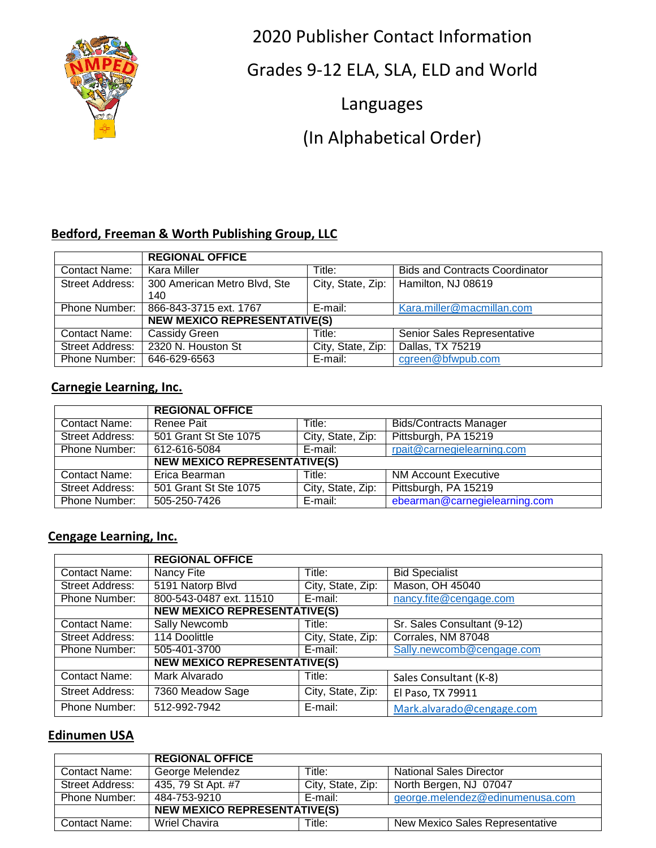

2020 Publisher Contact Information

Grades 9-12 ELA, SLA, ELD and World

Languages

(In Alphabetical Order)

# **Bedford, Freeman & Worth Publishing Group, LLC**

|                        | <b>REGIONAL OFFICE</b>              |                   |                                       |
|------------------------|-------------------------------------|-------------------|---------------------------------------|
| Contact Name:          | Kara Miller                         | Title:            | <b>Bids and Contracts Coordinator</b> |
| <b>Street Address:</b> | 300 American Metro Blvd, Ste        | City, State, Zip: | Hamilton, NJ 08619                    |
|                        | 140                                 |                   |                                       |
| <b>Phone Number:</b>   | 866-843-3715 ext. 1767              | E-mail:           | Kara.miller@macmillan.com             |
|                        | <b>NEW MEXICO REPRESENTATIVE(S)</b> |                   |                                       |
| Contact Name:          | Cassidy Green                       | Title:            | Senior Sales Representative           |
| <b>Street Address:</b> | 2320 N. Houston St                  | City, State, Zip: | Dallas, TX 75219                      |
| <b>Phone Number:</b>   | 646-629-6563                        | E-mail:           | cgreen@bfwpub.com                     |

## **Carnegie Learning, Inc.**

|                        | <b>REGIONAL OFFICE</b>              |                   |                               |
|------------------------|-------------------------------------|-------------------|-------------------------------|
| Contact Name:          | Renee Pait                          | Title:            | <b>Bids/Contracts Manager</b> |
| <b>Street Address:</b> | 501 Grant St Ste 1075               | City, State, Zip: | Pittsburgh, PA 15219          |
| Phone Number:          | 612-616-5084                        | E-mail:           | rpait@carnegielearning.com    |
|                        | <b>NEW MEXICO REPRESENTATIVE(S)</b> |                   |                               |
| <b>Contact Name:</b>   | Erica Bearman                       | Title:            | <b>NM Account Executive</b>   |
| <b>Street Address:</b> | 501 Grant St Ste 1075               | City, State, Zip: | Pittsburgh, PA 15219          |
| Phone Number:          | 505-250-7426                        | E-mail:           | ebearman@carnegielearning.com |

#### **Cengage Learning, Inc.**

|                        | <b>REGIONAL OFFICE</b>              |                   |                             |
|------------------------|-------------------------------------|-------------------|-----------------------------|
| Contact Name:          | Nancy Fite                          | Title:            | <b>Bid Specialist</b>       |
| <b>Street Address:</b> | 5191 Natorp Blvd                    | City, State, Zip: | Mason, OH 45040             |
| Phone Number:          | 800-543-0487 ext. 11510             | E-mail:           | nancy.fite@cengage.com      |
|                        | <b>NEW MEXICO REPRESENTATIVE(S)</b> |                   |                             |
| <b>Contact Name:</b>   | Sally Newcomb                       | Title:            | Sr. Sales Consultant (9-12) |
| <b>Street Address:</b> | 114 Doolittle                       | City, State, Zip: | Corrales, NM 87048          |
| Phone Number:          | 505-401-3700                        | E-mail:           | Sally.newcomb@cengage.com   |
|                        | <b>NEW MEXICO REPRESENTATIVE(S)</b> |                   |                             |
| <b>Contact Name:</b>   | Mark Alvarado                       | Title:            | Sales Consultant (K-8)      |
| Street Address:        | 7360 Meadow Sage                    | City, State, Zip: | El Paso, TX 79911           |
| Phone Number:          | 512-992-7942                        | E-mail:           | Mark.alvarado@cengage.com   |

#### **Edinumen USA**

|                      | <b>REGIONAL OFFICE</b>              |                   |                                 |
|----------------------|-------------------------------------|-------------------|---------------------------------|
| Contact Name:        | George Melendez                     | Title:            | <b>National Sales Director</b>  |
| Street Address:      | 435, 79 St Apt. #7                  | City, State, Zip: | North Bergen, NJ 07047          |
| Phone Number:        | 484-753-9210                        | E-mail:           | george.melendez@edinumenusa.com |
|                      | <b>NEW MEXICO REPRESENTATIVE(S)</b> |                   |                                 |
| <b>Contact Name:</b> | Wriel Chavira                       | Title:            | New Mexico Sales Representative |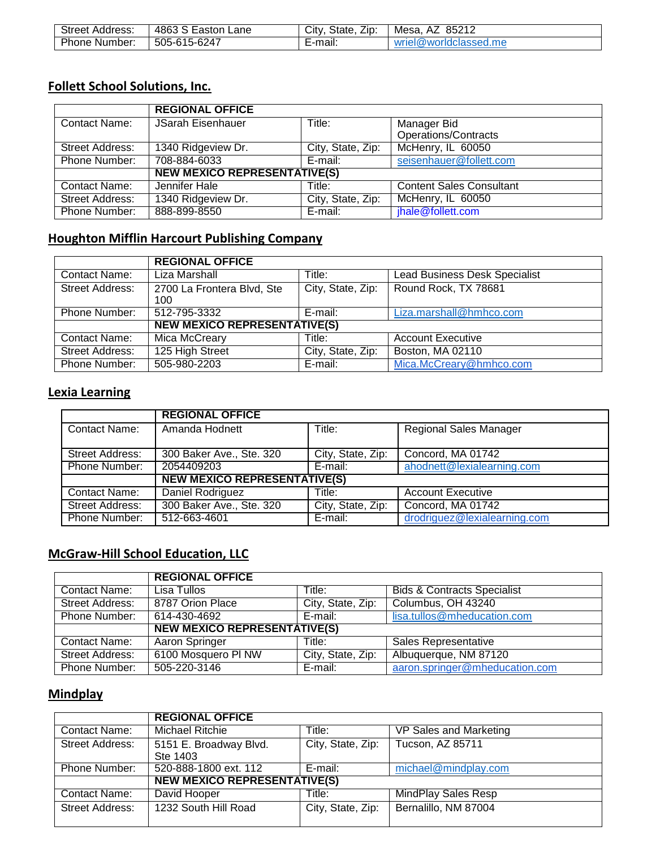| Street<br>Address: | - 4863 ఒ<br>_ane<br>Eastor | --<br>State<br>∠ıp:<br>Citv. | 85212<br>– A∠<br>Mesa           |
|--------------------|----------------------------|------------------------------|---------------------------------|
| Phone<br>Number:   | 505-615-6247               | <br>:-mail:                  | worldclassed.me!<br>1 W.<br>MI⊫ |

# **Follett School Solutions, Inc.**

|                        | <b>REGIONAL OFFICE</b>              |                   |                                 |
|------------------------|-------------------------------------|-------------------|---------------------------------|
| <b>Contact Name:</b>   | JSarah Eisenhauer                   | Title:            | Manager Bid                     |
|                        |                                     |                   | <b>Operations/Contracts</b>     |
| <b>Street Address:</b> | 1340 Ridgeview Dr.                  | City, State, Zip: | McHenry, IL 60050               |
| <b>Phone Number:</b>   | 708-884-6033                        | E-mail:           | seisenhauer@follett.com         |
|                        | <b>NEW MEXICO REPRESENTATIVE(S)</b> |                   |                                 |
| Contact Name:          | Jennifer Hale                       | Title:            | <b>Content Sales Consultant</b> |
| <b>Street Address:</b> | 1340 Ridgeview Dr.                  | City, State, Zip: | McHenry, IL 60050               |
| Phone Number:          | 888-899-8550                        | E-mail:           | jhale@follett.com               |

# **Houghton Mifflin Harcourt Publishing Company**

|                        | <b>REGIONAL OFFICE</b>              |                   |                                      |
|------------------------|-------------------------------------|-------------------|--------------------------------------|
| <b>Contact Name:</b>   | Liza Marshall                       | Title:            | <b>Lead Business Desk Specialist</b> |
| <b>Street Address:</b> | 2700 La Frontera Blvd, Ste<br>100   | City, State, Zip: | Round Rock, TX 78681                 |
| Phone Number:          | 512-795-3332                        | E-mail:           | Liza.marshall@hmhco.com              |
|                        | <b>NEW MEXICO REPRESENTATIVE(S)</b> |                   |                                      |
| Contact Name:          | Mica McCreary                       | Title:            | <b>Account Executive</b>             |
| <b>Street Address:</b> | 125 High Street                     | City, State, Zip: | Boston, MA 02110                     |
| <b>Phone Number:</b>   | 505-980-2203                        | E-mail:           | Mica.McCreary@hmhco.com              |

### **Lexia Learning**

|                        | <b>REGIONAL OFFICE</b>              |                   |                               |
|------------------------|-------------------------------------|-------------------|-------------------------------|
| <b>Contact Name:</b>   | Amanda Hodnett                      | Title:            | <b>Regional Sales Manager</b> |
| <b>Street Address:</b> | 300 Baker Ave., Ste. 320            | City, State, Zip: | Concord, MA 01742             |
| Phone Number:          | 2054409203                          | E-mail:           | ahodnett@lexialearning.com    |
|                        | <b>NEW MEXICO REPRESENTATIVE(S)</b> |                   |                               |
| Contact Name:          | Daniel Rodriguez                    | Title:            | <b>Account Executive</b>      |
| Street Address:        | 300 Baker Ave., Ste. 320            | City, State, Zip: | Concord, MA 01742             |
| <b>Phone Number:</b>   | 512-663-4601                        | E-mail:           | drodriguez@lexialearning.com  |

## **McGraw-Hill School Education, LLC**

|                        | <b>REGIONAL OFFICE</b>              |                   |                                        |
|------------------------|-------------------------------------|-------------------|----------------------------------------|
| <b>Contact Name:</b>   | Lisa Tullos                         | Title:            | <b>Bids &amp; Contracts Specialist</b> |
| <b>Street Address:</b> | 8787 Orion Place                    | City, State, Zip: | Columbus, OH 43240                     |
| Phone Number:          | 614-430-4692                        | E-mail:           | lisa.tullos@mheducation.com            |
|                        | <b>NEW MEXICO REPRESENTATIVE(S)</b> |                   |                                        |
| Contact Name:          | Aaron Springer                      | Title:            | Sales Representative                   |
| <b>Street Address:</b> | 6100 Mosquero PI NW                 | City, State, Zip: | Albuquerque, NM 87120                  |
| Phone Number:          | 505-220-3146                        | E-mail:           | aaron.springer@mheducation.com         |

### **Mindplay**

|                        | <b>REGIONAL OFFICE</b>              |                   |                        |
|------------------------|-------------------------------------|-------------------|------------------------|
| Contact Name:          | Michael Ritchie                     | Title:            | VP Sales and Marketing |
| <b>Street Address:</b> | 5151 E. Broadway Blvd.<br>Ste 1403  | City, State, Zip: | Tucson, AZ 85711       |
| <b>Phone Number:</b>   | 520-888-1800 ext. 112               | E-mail:           | michael@mindplay.com   |
|                        | <b>NEW MEXICO REPRESENTATIVE(S)</b> |                   |                        |
| Contact Name:          | David Hooper                        | Title:            | MindPlay Sales Resp    |
| Street Address:        | 1232 South Hill Road                | City, State, Zip: | Bernalillo, NM 87004   |